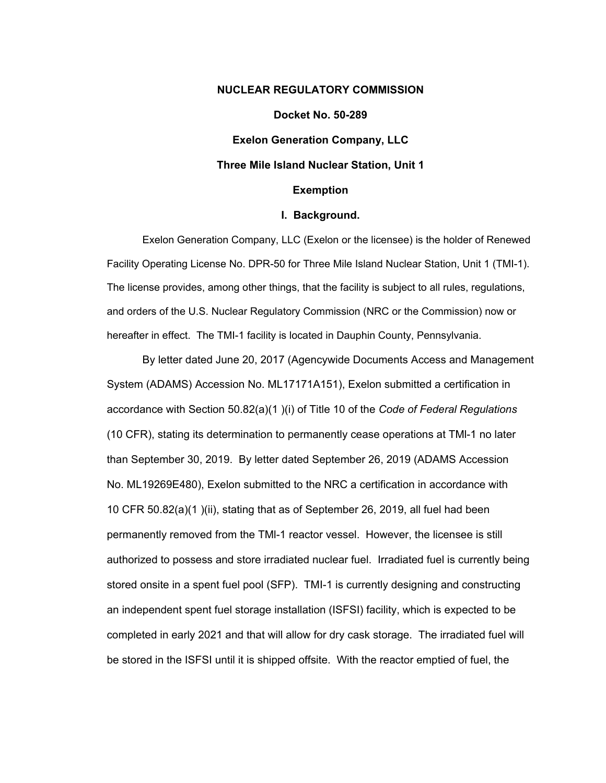### **NUCLEAR REGULATORY COMMISSION**

### **Docket No. 50-289**

**Exelon Generation Company, LLC** 

### **Three Mile Island Nuclear Station, Unit 1**

#### **Exemption**

#### **I. Background.**

Exelon Generation Company, LLC (Exelon or the licensee) is the holder of Renewed Facility Operating License No. DPR-50 for Three Mile Island Nuclear Station, Unit 1 (TMI-1). The license provides, among other things, that the facility is subject to all rules, regulations, and orders of the U.S. Nuclear Regulatory Commission (NRC or the Commission) now or hereafter in effect. The TMI-1 facility is located in Dauphin County, Pennsylvania.

By letter dated June 20, 2017 (Agencywide Documents Access and Management System (ADAMS) Accession No. ML17171A151), Exelon submitted a certification in accordance with Section 50.82(a)(1 )(i) of Title 10 of the *Code of Federal Regulations*  (10 CFR), stating its determination to permanently cease operations at TMl-1 no later than September 30, 2019. By letter dated September 26, 2019 (ADAMS Accession No. ML19269E480), Exelon submitted to the NRC a certification in accordance with 10 CFR 50.82(a)(1 )(ii), stating that as of September 26, 2019, all fuel had been permanently removed from the TMl-1 reactor vessel. However, the licensee is still authorized to possess and store irradiated nuclear fuel. Irradiated fuel is currently being stored onsite in a spent fuel pool (SFP). TMI-1 is currently designing and constructing an independent spent fuel storage installation (ISFSI) facility, which is expected to be completed in early 2021 and that will allow for dry cask storage. The irradiated fuel will be stored in the ISFSI until it is shipped offsite. With the reactor emptied of fuel, the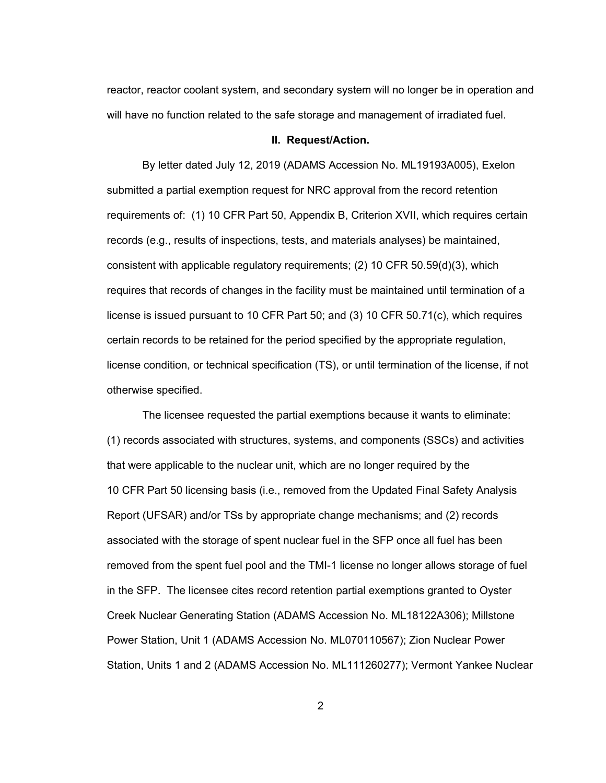reactor, reactor coolant system, and secondary system will no longer be in operation and will have no function related to the safe storage and management of irradiated fuel.

#### **II. Request/Action.**

By letter dated July 12, 2019 (ADAMS Accession No. ML19193A005), Exelon submitted a partial exemption request for NRC approval from the record retention requirements of: (1) 10 CFR Part 50, Appendix B, Criterion XVII, which requires certain records (e.g., results of inspections, tests, and materials analyses) be maintained, consistent with applicable regulatory requirements; (2) 10 CFR 50.59(d)(3), which requires that records of changes in the facility must be maintained until termination of a license is issued pursuant to 10 CFR Part 50; and (3) 10 CFR 50.71(c), which requires certain records to be retained for the period specified by the appropriate regulation, license condition, or technical specification (TS), or until termination of the license, if not otherwise specified.

The licensee requested the partial exemptions because it wants to eliminate: (1) records associated with structures, systems, and components (SSCs) and activities that were applicable to the nuclear unit, which are no longer required by the 10 CFR Part 50 licensing basis (i.e., removed from the Updated Final Safety Analysis Report (UFSAR) and/or TSs by appropriate change mechanisms; and (2) records associated with the storage of spent nuclear fuel in the SFP once all fuel has been removed from the spent fuel pool and the TMI-1 license no longer allows storage of fuel in the SFP. The licensee cites record retention partial exemptions granted to Oyster Creek Nuclear Generating Station (ADAMS Accession No. ML18122A306); Millstone Power Station, Unit 1 (ADAMS Accession No. ML070110567); Zion Nuclear Power Station, Units 1 and 2 (ADAMS Accession No. ML111260277); Vermont Yankee Nuclear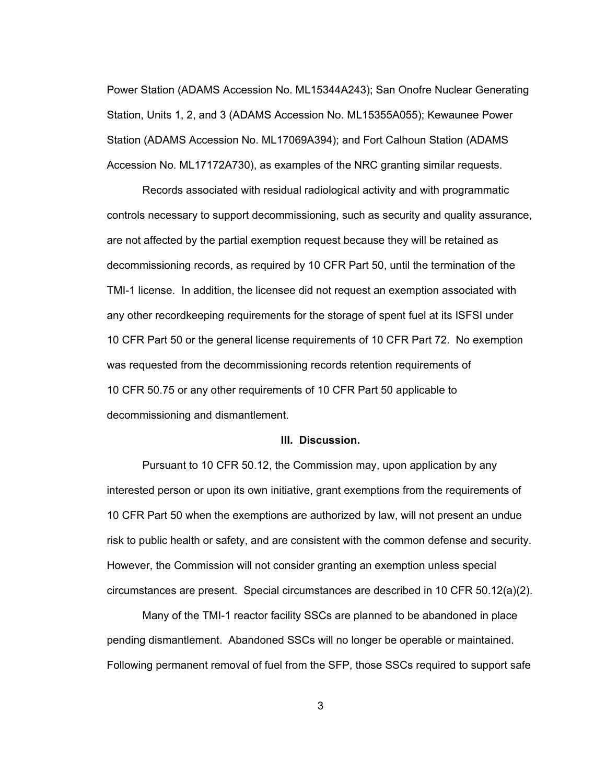Power Station (ADAMS Accession No. ML15344A243); San Onofre Nuclear Generating Station, Units 1, 2, and 3 (ADAMS Accession No. ML15355A055); Kewaunee Power Station (ADAMS Accession No. ML17069A394); and Fort Calhoun Station (ADAMS Accession No. ML17172A730), as examples of the NRC granting similar requests.

Records associated with residual radiological activity and with programmatic controls necessary to support decommissioning, such as security and quality assurance, are not affected by the partial exemption request because they will be retained as decommissioning records, as required by 10 CFR Part 50, until the termination of the TMI-1 license. In addition, the licensee did not request an exemption associated with any other recordkeeping requirements for the storage of spent fuel at its ISFSI under 10 CFR Part 50 or the general license requirements of 10 CFR Part 72. No exemption was requested from the decommissioning records retention requirements of 10 CFR 50.75 or any other requirements of 10 CFR Part 50 applicable to decommissioning and dismantlement.

### **III. Discussion.**

Pursuant to 10 CFR 50.12, the Commission may, upon application by any interested person or upon its own initiative, grant exemptions from the requirements of 10 CFR Part 50 when the exemptions are authorized by law, will not present an undue risk to public health or safety, and are consistent with the common defense and security. However, the Commission will not consider granting an exemption unless special circumstances are present. Special circumstances are described in 10 CFR 50.12(a)(2).

Many of the TMI-1 reactor facility SSCs are planned to be abandoned in place pending dismantlement. Abandoned SSCs will no longer be operable or maintained. Following permanent removal of fuel from the SFP, those SSCs required to support safe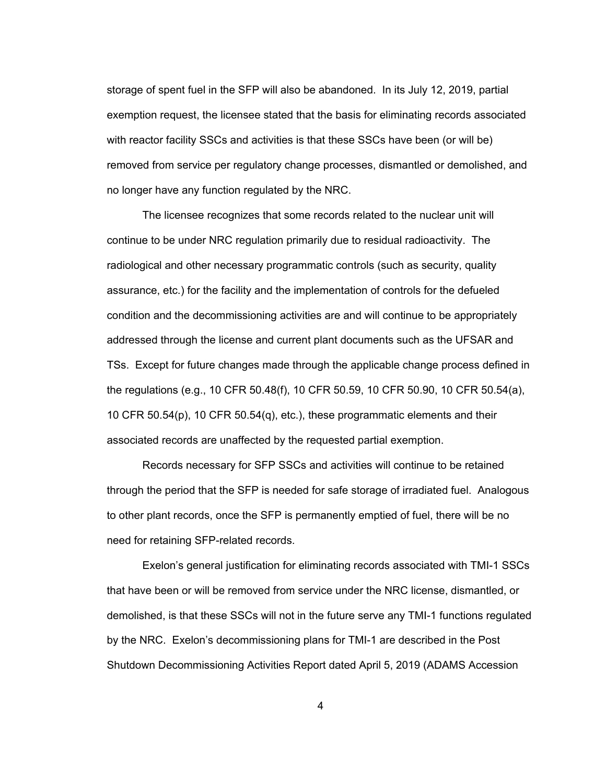storage of spent fuel in the SFP will also be abandoned. In its July 12, 2019, partial exemption request, the licensee stated that the basis for eliminating records associated with reactor facility SSCs and activities is that these SSCs have been (or will be) removed from service per regulatory change processes, dismantled or demolished, and no longer have any function regulated by the NRC.

The licensee recognizes that some records related to the nuclear unit will continue to be under NRC regulation primarily due to residual radioactivity. The radiological and other necessary programmatic controls (such as security, quality assurance, etc.) for the facility and the implementation of controls for the defueled condition and the decommissioning activities are and will continue to be appropriately addressed through the license and current plant documents such as the UFSAR and TSs. Except for future changes made through the applicable change process defined in the regulations (e.g., 10 CFR 50.48(f), 10 CFR 50.59, 10 CFR 50.90, 10 CFR 50.54(a), 10 CFR 50.54(p), 10 CFR 50.54(q), etc.), these programmatic elements and their associated records are unaffected by the requested partial exemption.

Records necessary for SFP SSCs and activities will continue to be retained through the period that the SFP is needed for safe storage of irradiated fuel. Analogous to other plant records, once the SFP is permanently emptied of fuel, there will be no need for retaining SFP-related records.

Exelon's general justification for eliminating records associated with TMI-1 SSCs that have been or will be removed from service under the NRC license, dismantled, or demolished, is that these SSCs will not in the future serve any TMI-1 functions regulated by the NRC. Exelon's decommissioning plans for TMI-1 are described in the Post Shutdown Decommissioning Activities Report dated April 5, 2019 (ADAMS Accession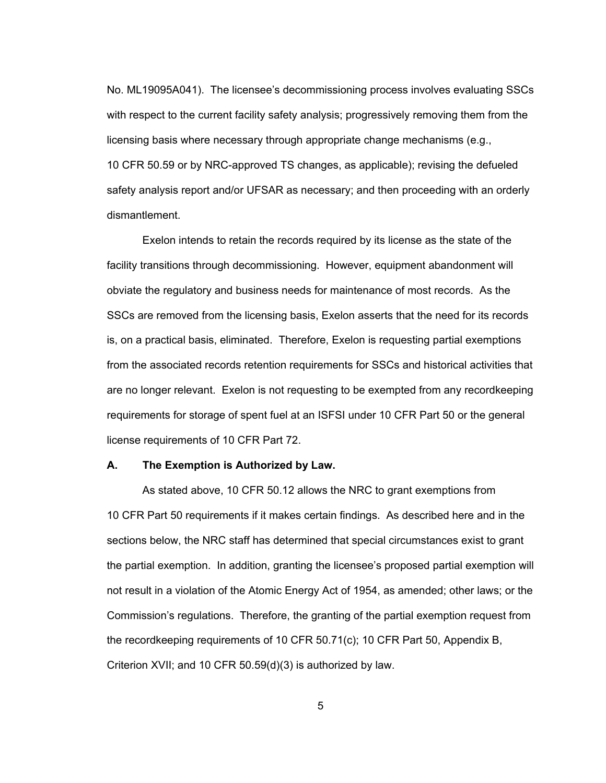No. ML19095A041). The licensee's decommissioning process involves evaluating SSCs with respect to the current facility safety analysis; progressively removing them from the licensing basis where necessary through appropriate change mechanisms (e.g., 10 CFR 50.59 or by NRC-approved TS changes, as applicable); revising the defueled safety analysis report and/or UFSAR as necessary; and then proceeding with an orderly dismantlement.

Exelon intends to retain the records required by its license as the state of the facility transitions through decommissioning. However, equipment abandonment will obviate the regulatory and business needs for maintenance of most records. As the SSCs are removed from the licensing basis, Exelon asserts that the need for its records is, on a practical basis, eliminated. Therefore, Exelon is requesting partial exemptions from the associated records retention requirements for SSCs and historical activities that are no longer relevant. Exelon is not requesting to be exempted from any recordkeeping requirements for storage of spent fuel at an ISFSI under 10 CFR Part 50 or the general license requirements of 10 CFR Part 72.

### **A. The Exemption is Authorized by Law.**

As stated above, 10 CFR 50.12 allows the NRC to grant exemptions from 10 CFR Part 50 requirements if it makes certain findings. As described here and in the sections below, the NRC staff has determined that special circumstances exist to grant the partial exemption. In addition, granting the licensee's proposed partial exemption will not result in a violation of the Atomic Energy Act of 1954, as amended; other laws; or the Commission's regulations. Therefore, the granting of the partial exemption request from the recordkeeping requirements of 10 CFR 50.71(c); 10 CFR Part 50, Appendix B, Criterion XVII; and 10 CFR 50.59(d)(3) is authorized by law.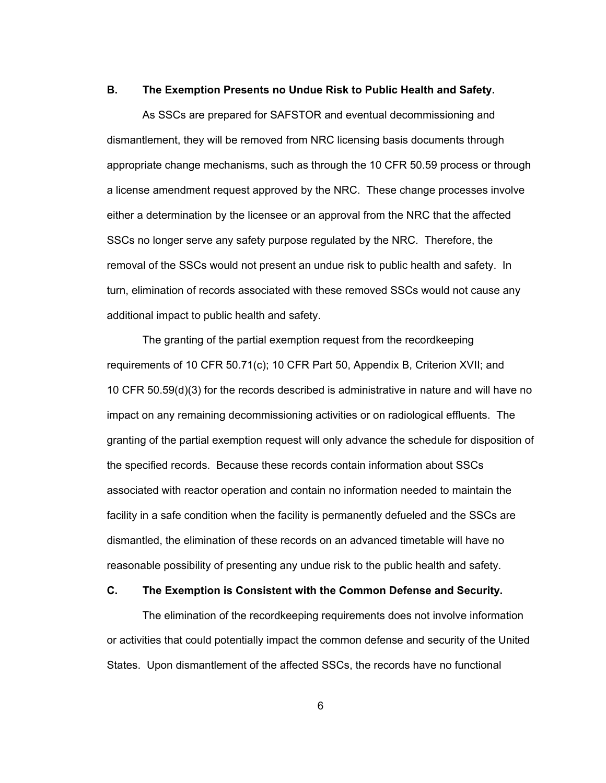### **B. The Exemption Presents no Undue Risk to Public Health and Safety.**

As SSCs are prepared for SAFSTOR and eventual decommissioning and dismantlement, they will be removed from NRC licensing basis documents through appropriate change mechanisms, such as through the 10 CFR 50.59 process or through a license amendment request approved by the NRC. These change processes involve either a determination by the licensee or an approval from the NRC that the affected SSCs no longer serve any safety purpose regulated by the NRC. Therefore, the removal of the SSCs would not present an undue risk to public health and safety. In turn, elimination of records associated with these removed SSCs would not cause any additional impact to public health and safety.

The granting of the partial exemption request from the recordkeeping requirements of 10 CFR 50.71(c); 10 CFR Part 50, Appendix B, Criterion XVII; and 10 CFR 50.59(d)(3) for the records described is administrative in nature and will have no impact on any remaining decommissioning activities or on radiological effluents. The granting of the partial exemption request will only advance the schedule for disposition of the specified records. Because these records contain information about SSCs associated with reactor operation and contain no information needed to maintain the facility in a safe condition when the facility is permanently defueled and the SSCs are dismantled, the elimination of these records on an advanced timetable will have no reasonable possibility of presenting any undue risk to the public health and safety.

# **C. The Exemption is Consistent with the Common Defense and Security.**

The elimination of the recordkeeping requirements does not involve information or activities that could potentially impact the common defense and security of the United States. Upon dismantlement of the affected SSCs, the records have no functional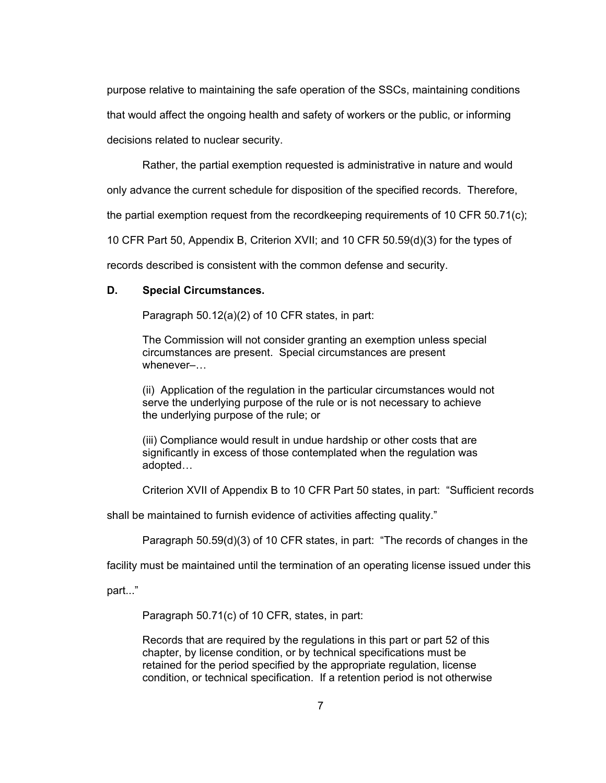purpose relative to maintaining the safe operation of the SSCs, maintaining conditions that would affect the ongoing health and safety of workers or the public, or informing decisions related to nuclear security.

Rather, the partial exemption requested is administrative in nature and would

only advance the current schedule for disposition of the specified records. Therefore,

the partial exemption request from the recordkeeping requirements of 10 CFR 50.71(c);

10 CFR Part 50, Appendix B, Criterion XVII; and 10 CFR 50.59(d)(3) for the types of

records described is consistent with the common defense and security.

## **D. Special Circumstances.**

Paragraph 50.12(a)(2) of 10 CFR states, in part:

The Commission will not consider granting an exemption unless special circumstances are present. Special circumstances are present whenever–…

(ii) Application of the regulation in the particular circumstances would not serve the underlying purpose of the rule or is not necessary to achieve the underlying purpose of the rule; or

(iii) Compliance would result in undue hardship or other costs that are significantly in excess of those contemplated when the regulation was adopted…

Criterion XVII of Appendix B to 10 CFR Part 50 states, in part: "Sufficient records

shall be maintained to furnish evidence of activities affecting quality."

Paragraph 50.59(d)(3) of 10 CFR states, in part: "The records of changes in the

facility must be maintained until the termination of an operating license issued under this

part..."

Paragraph 50.71(c) of 10 CFR, states, in part:

Records that are required by the regulations in this part or part 52 of this chapter, by license condition, or by technical specifications must be retained for the period specified by the appropriate regulation, license condition, or technical specification. If a retention period is not otherwise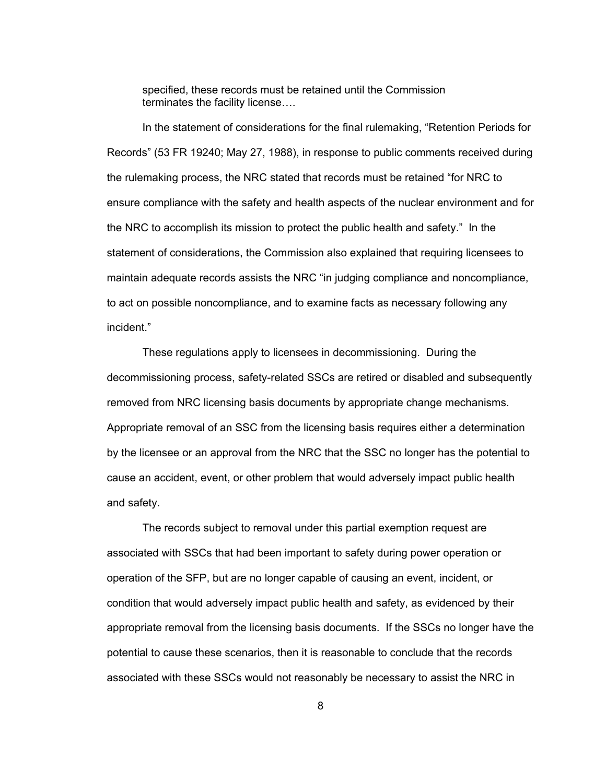specified, these records must be retained until the Commission terminates the facility license….

In the statement of considerations for the final rulemaking, "Retention Periods for Records" (53 FR 19240; May 27, 1988), in response to public comments received during the rulemaking process, the NRC stated that records must be retained "for NRC to ensure compliance with the safety and health aspects of the nuclear environment and for the NRC to accomplish its mission to protect the public health and safety." In the statement of considerations, the Commission also explained that requiring licensees to maintain adequate records assists the NRC "in judging compliance and noncompliance, to act on possible noncompliance, and to examine facts as necessary following any incident."

These regulations apply to licensees in decommissioning. During the decommissioning process, safety-related SSCs are retired or disabled and subsequently removed from NRC licensing basis documents by appropriate change mechanisms. Appropriate removal of an SSC from the licensing basis requires either a determination by the licensee or an approval from the NRC that the SSC no longer has the potential to cause an accident, event, or other problem that would adversely impact public health and safety.

The records subject to removal under this partial exemption request are associated with SSCs that had been important to safety during power operation or operation of the SFP, but are no longer capable of causing an event, incident, or condition that would adversely impact public health and safety, as evidenced by their appropriate removal from the licensing basis documents. If the SSCs no longer have the potential to cause these scenarios, then it is reasonable to conclude that the records associated with these SSCs would not reasonably be necessary to assist the NRC in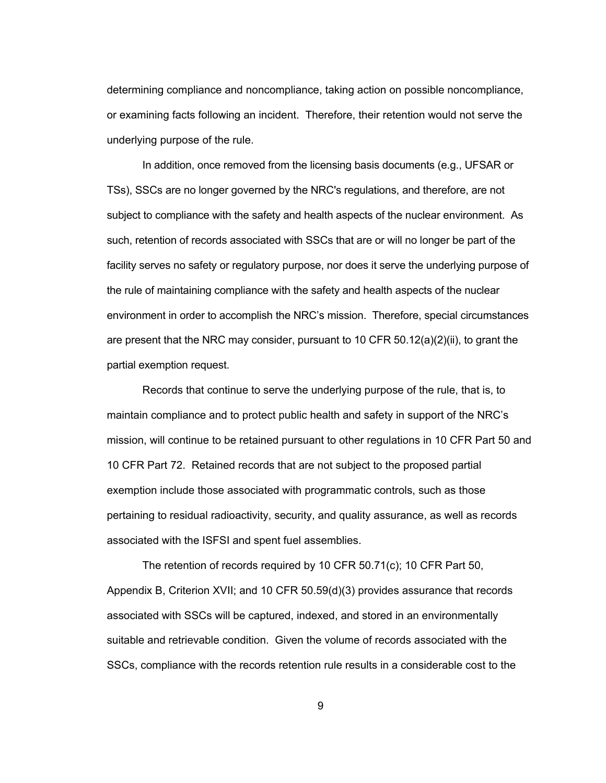determining compliance and noncompliance, taking action on possible noncompliance, or examining facts following an incident. Therefore, their retention would not serve the underlying purpose of the rule.

In addition, once removed from the licensing basis documents (e.g., UFSAR or TSs), SSCs are no longer governed by the NRC's regulations, and therefore, are not subject to compliance with the safety and health aspects of the nuclear environment. As such, retention of records associated with SSCs that are or will no longer be part of the facility serves no safety or regulatory purpose, nor does it serve the underlying purpose of the rule of maintaining compliance with the safety and health aspects of the nuclear environment in order to accomplish the NRC's mission. Therefore, special circumstances are present that the NRC may consider, pursuant to 10 CFR  $50.12(a)(2)(ii)$ , to grant the partial exemption request.

Records that continue to serve the underlying purpose of the rule, that is, to maintain compliance and to protect public health and safety in support of the NRC's mission, will continue to be retained pursuant to other regulations in 10 CFR Part 50 and 10 CFR Part 72. Retained records that are not subject to the proposed partial exemption include those associated with programmatic controls, such as those pertaining to residual radioactivity, security, and quality assurance, as well as records associated with the ISFSI and spent fuel assemblies.

The retention of records required by 10 CFR 50.71(c); 10 CFR Part 50, Appendix B, Criterion XVII; and 10 CFR 50.59(d)(3) provides assurance that records associated with SSCs will be captured, indexed, and stored in an environmentally suitable and retrievable condition. Given the volume of records associated with the SSCs, compliance with the records retention rule results in a considerable cost to the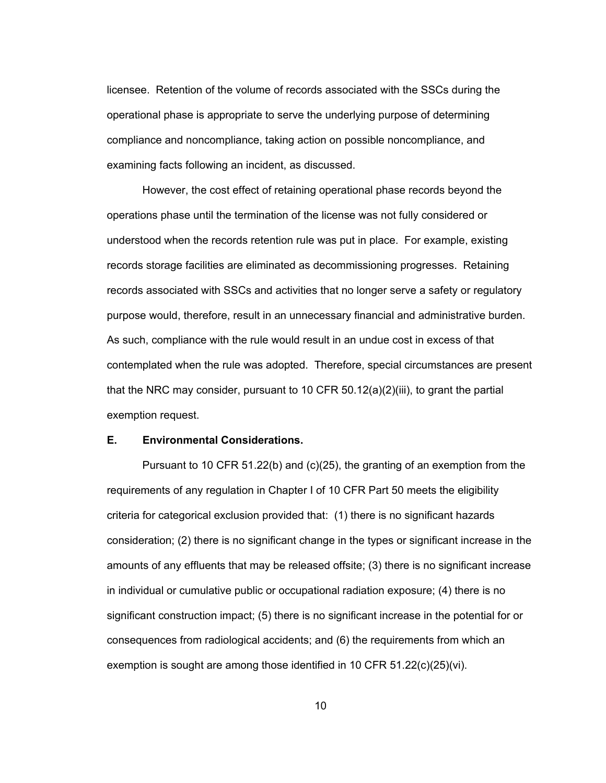licensee. Retention of the volume of records associated with the SSCs during the operational phase is appropriate to serve the underlying purpose of determining compliance and noncompliance, taking action on possible noncompliance, and examining facts following an incident, as discussed.

However, the cost effect of retaining operational phase records beyond the operations phase until the termination of the license was not fully considered or understood when the records retention rule was put in place. For example, existing records storage facilities are eliminated as decommissioning progresses. Retaining records associated with SSCs and activities that no longer serve a safety or regulatory purpose would, therefore, result in an unnecessary financial and administrative burden. As such, compliance with the rule would result in an undue cost in excess of that contemplated when the rule was adopted. Therefore, special circumstances are present that the NRC may consider, pursuant to 10 CFR  $50.12(a)(2)(iii)$ , to grant the partial exemption request.

### **E. Environmental Considerations.**

Pursuant to 10 CFR 51.22(b) and (c)(25), the granting of an exemption from the requirements of any regulation in Chapter I of 10 CFR Part 50 meets the eligibility criteria for categorical exclusion provided that: (1) there is no significant hazards consideration; (2) there is no significant change in the types or significant increase in the amounts of any effluents that may be released offsite; (3) there is no significant increase in individual or cumulative public or occupational radiation exposure; (4) there is no significant construction impact; (5) there is no significant increase in the potential for or consequences from radiological accidents; and (6) the requirements from which an exemption is sought are among those identified in 10 CFR 51.22(c)(25)(vi).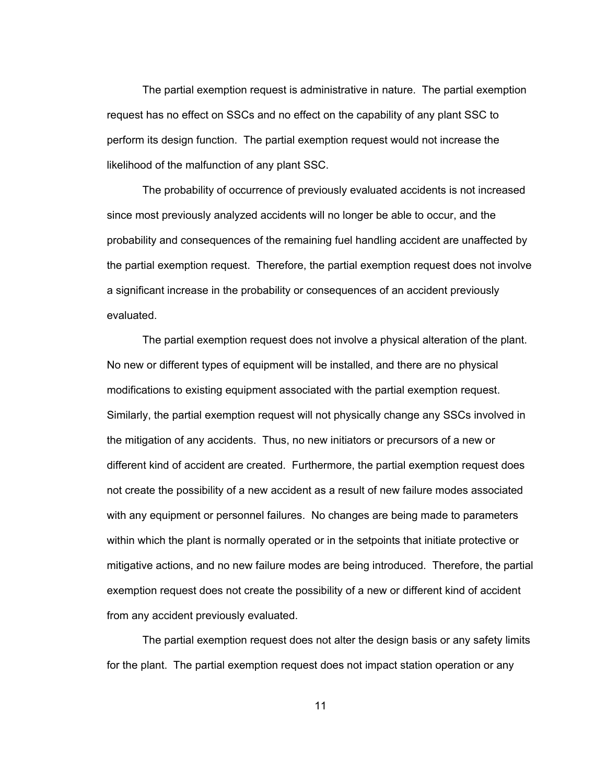The partial exemption request is administrative in nature. The partial exemption request has no effect on SSCs and no effect on the capability of any plant SSC to perform its design function. The partial exemption request would not increase the likelihood of the malfunction of any plant SSC.

 The probability of occurrence of previously evaluated accidents is not increased since most previously analyzed accidents will no longer be able to occur, and the probability and consequences of the remaining fuel handling accident are unaffected by the partial exemption request. Therefore, the partial exemption request does not involve a significant increase in the probability or consequences of an accident previously evaluated.

The partial exemption request does not involve a physical alteration of the plant. No new or different types of equipment will be installed, and there are no physical modifications to existing equipment associated with the partial exemption request. Similarly, the partial exemption request will not physically change any SSCs involved in the mitigation of any accidents. Thus, no new initiators or precursors of a new or different kind of accident are created. Furthermore, the partial exemption request does not create the possibility of a new accident as a result of new failure modes associated with any equipment or personnel failures. No changes are being made to parameters within which the plant is normally operated or in the setpoints that initiate protective or mitigative actions, and no new failure modes are being introduced. Therefore, the partial exemption request does not create the possibility of a new or different kind of accident from any accident previously evaluated.

The partial exemption request does not alter the design basis or any safety limits for the plant. The partial exemption request does not impact station operation or any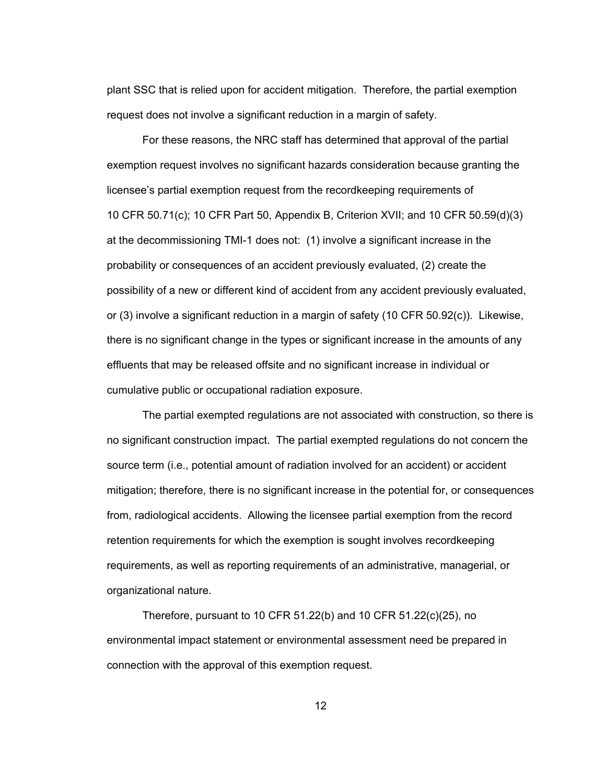plant SSC that is relied upon for accident mitigation. Therefore, the partial exemption request does not involve a significant reduction in a margin of safety.

For these reasons, the NRC staff has determined that approval of the partial exemption request involves no significant hazards consideration because granting the licensee's partial exemption request from the recordkeeping requirements of 10 CFR 50.71(c); 10 CFR Part 50, Appendix B, Criterion XVII; and 10 CFR 50.59(d)(3) at the decommissioning TMI-1 does not: (1) involve a significant increase in the probability or consequences of an accident previously evaluated, (2) create the possibility of a new or different kind of accident from any accident previously evaluated, or (3) involve a significant reduction in a margin of safety (10 CFR 50.92(c)). Likewise, there is no significant change in the types or significant increase in the amounts of any effluents that may be released offsite and no significant increase in individual or cumulative public or occupational radiation exposure.

The partial exempted regulations are not associated with construction, so there is no significant construction impact. The partial exempted regulations do not concern the source term (i.e., potential amount of radiation involved for an accident) or accident mitigation; therefore, there is no significant increase in the potential for, or consequences from, radiological accidents. Allowing the licensee partial exemption from the record retention requirements for which the exemption is sought involves recordkeeping requirements, as well as reporting requirements of an administrative, managerial, or organizational nature.

Therefore, pursuant to 10 CFR 51.22(b) and 10 CFR 51.22(c)(25), no environmental impact statement or environmental assessment need be prepared in connection with the approval of this exemption request.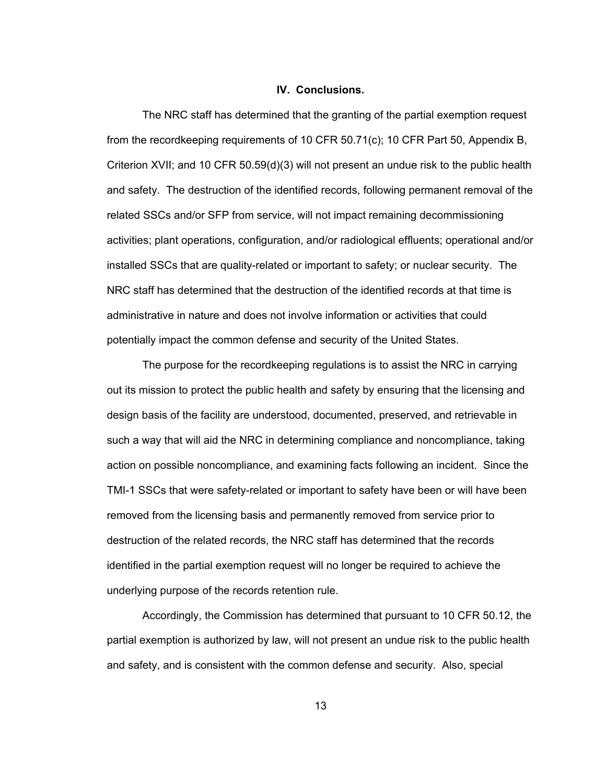### **IV. Conclusions.**

The NRC staff has determined that the granting of the partial exemption request from the recordkeeping requirements of 10 CFR 50.71(c); 10 CFR Part 50, Appendix B, Criterion XVII; and 10 CFR 50.59(d)(3) will not present an undue risk to the public health and safety. The destruction of the identified records, following permanent removal of the related SSCs and/or SFP from service, will not impact remaining decommissioning activities; plant operations, configuration, and/or radiological effluents; operational and/or installed SSCs that are quality-related or important to safety; or nuclear security. The NRC staff has determined that the destruction of the identified records at that time is administrative in nature and does not involve information or activities that could potentially impact the common defense and security of the United States.

The purpose for the recordkeeping regulations is to assist the NRC in carrying out its mission to protect the public health and safety by ensuring that the licensing and design basis of the facility are understood, documented, preserved, and retrievable in such a way that will aid the NRC in determining compliance and noncompliance, taking action on possible noncompliance, and examining facts following an incident. Since the TMI-1 SSCs that were safety-related or important to safety have been or will have been removed from the licensing basis and permanently removed from service prior to destruction of the related records, the NRC staff has determined that the records identified in the partial exemption request will no longer be required to achieve the underlying purpose of the records retention rule.

Accordingly, the Commission has determined that pursuant to 10 CFR 50.12, the partial exemption is authorized by law, will not present an undue risk to the public health and safety, and is consistent with the common defense and security. Also, special